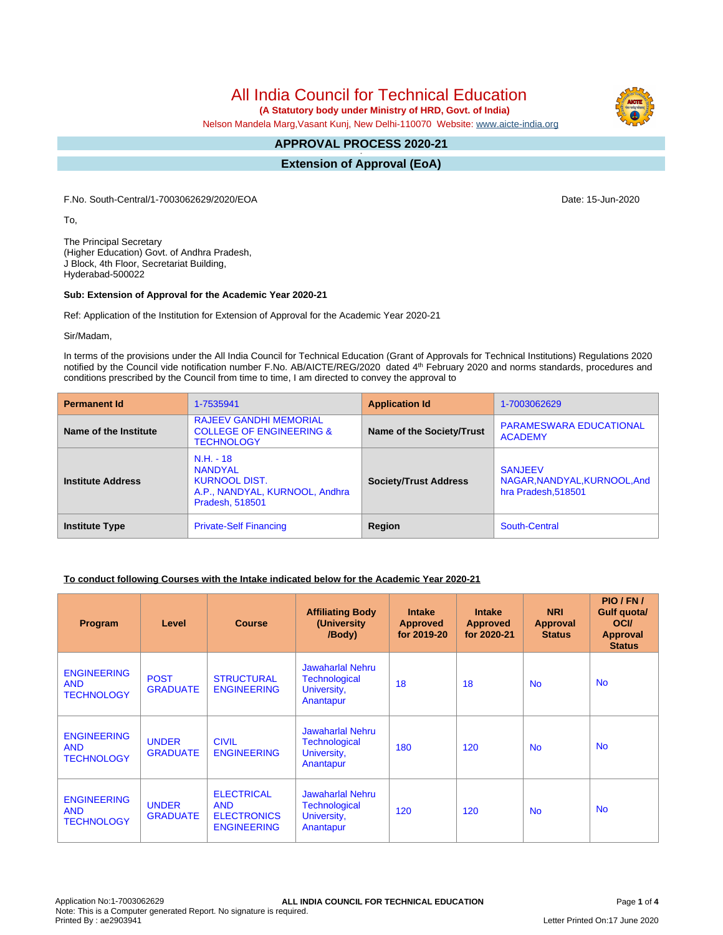# All India Council for Technical Education

 **(A Statutory body under Ministry of HRD, Govt. of India)**

Nelson Mandela Marg,Vasant Kunj, New Delhi-110070 Website: [www.aicte-india.org](http://www.aicte-india.org)

#### **APPROVAL PROCESS 2020-21 -**

**Extension of Approval (EoA)**

F.No. South-Central/1-7003062629/2020/EOA Date: 15-Jun-2020

To,

The Principal Secretary (Higher Education) Govt. of Andhra Pradesh, J Block, 4th Floor, Secretariat Building, Hyderabad-500022

#### **Sub: Extension of Approval for the Academic Year 2020-21**

Ref: Application of the Institution for Extension of Approval for the Academic Year 2020-21

Sir/Madam,

In terms of the provisions under the All India Council for Technical Education (Grant of Approvals for Technical Institutions) Regulations 2020 notified by the Council vide notification number F.No. AB/AICTE/REG/2020 dated 4<sup>th</sup> February 2020 and norms standards, procedures and conditions prescribed by the Council from time to time, I am directed to convey the approval to

| <b>Permanent Id</b>      | 1-7535941                                                                                                  | <b>Application Id</b>        | 1-7003062629                                                          |
|--------------------------|------------------------------------------------------------------------------------------------------------|------------------------------|-----------------------------------------------------------------------|
| Name of the Institute    | <b>RAJEEV GANDHI MEMORIAL</b><br><b>COLLEGE OF ENGINEERING &amp;</b><br><b>TECHNOLOGY</b>                  | Name of the Society/Trust    | <b>PARAMESWARA EDUCATIONAL</b><br><b>ACADEMY</b>                      |
| <b>Institute Address</b> | $N.H. - 18$<br><b>NANDYAL</b><br><b>KURNOOL DIST.</b><br>A.P., NANDYAL, KURNOOL, Andhra<br>Pradesh, 518501 | <b>Society/Trust Address</b> | <b>SANJEEV</b><br>NAGAR, NANDYAL, KURNOOL, And<br>hra Pradesh, 518501 |
| <b>Institute Type</b>    | <b>Private-Self Financing</b>                                                                              | Region                       | South-Central                                                         |

### **To conduct following Courses with the Intake indicated below for the Academic Year 2020-21**

| Program                                               | Level                           | <b>Course</b>                                                               | <b>Affiliating Body</b><br>(University)<br>/Body)                           | <b>Intake</b><br><b>Approved</b><br>for 2019-20 | <b>Intake</b><br><b>Approved</b><br>for 2020-21 | <b>NRI</b><br>Approval<br><b>Status</b> | PIO/FN/<br>Gulf quota/<br><b>OCI</b><br><b>Approval</b><br><b>Status</b> |
|-------------------------------------------------------|---------------------------------|-----------------------------------------------------------------------------|-----------------------------------------------------------------------------|-------------------------------------------------|-------------------------------------------------|-----------------------------------------|--------------------------------------------------------------------------|
| <b>ENGINEERING</b><br><b>AND</b><br><b>TECHNOLOGY</b> | <b>POST</b><br><b>GRADUATE</b>  | <b>STRUCTURAL</b><br><b>ENGINEERING</b>                                     | Jawaharlal Nehru<br><b>Technological</b><br>University,<br>Anantapur        | 18                                              | 18                                              | <b>No</b>                               | <b>No</b>                                                                |
| <b>ENGINEERING</b><br><b>AND</b><br><b>TECHNOLOGY</b> | <b>UNDER</b><br><b>GRADUATE</b> | <b>CIVIL</b><br><b>ENGINEERING</b>                                          | <b>Jawaharlal Nehru</b><br><b>Technological</b><br>University,<br>Anantapur | 180                                             | 120                                             | No.                                     | <b>No</b>                                                                |
| <b>ENGINEERING</b><br><b>AND</b><br><b>TECHNOLOGY</b> | <b>UNDER</b><br><b>GRADUATE</b> | <b>ELECTRICAL</b><br><b>AND</b><br><b>ELECTRONICS</b><br><b>ENGINEERING</b> | Jawaharlal Nehru<br><b>Technological</b><br>University,<br>Anantapur        | 120                                             | 120                                             | <b>No</b>                               | <b>No</b>                                                                |

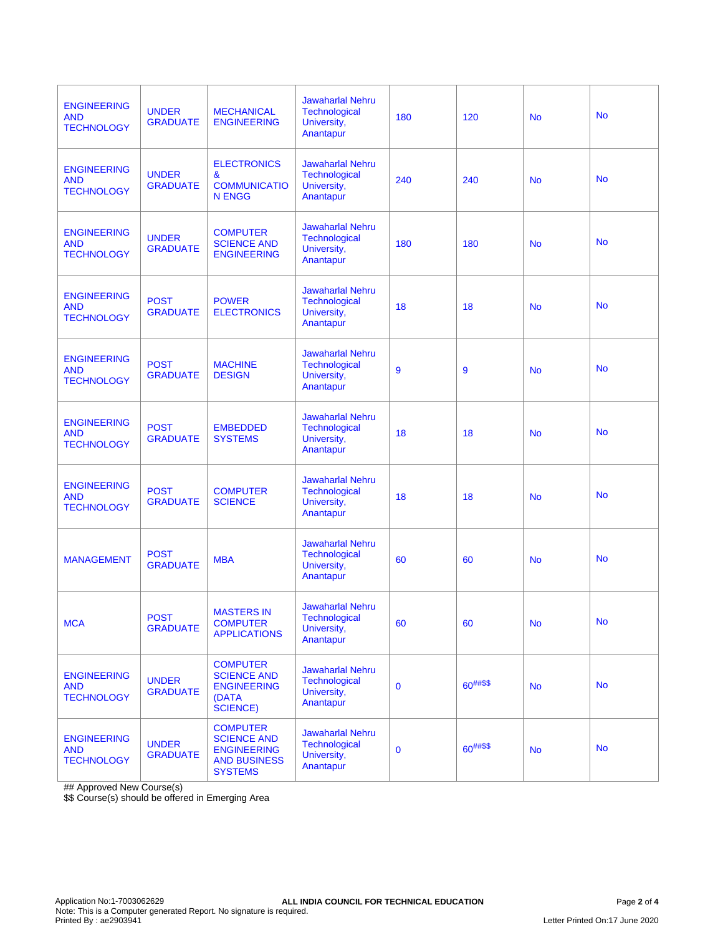| <b>ENGINEERING</b><br><b>AND</b><br><b>TECHNOLOGY</b> | <b>UNDER</b><br><b>GRADUATE</b> | <b>MECHANICAL</b><br><b>ENGINEERING</b>                                                              | <b>Jawaharlal Nehru</b><br><b>Technological</b><br>University,<br>Anantapur | 180         | 120      | <b>No</b> | <b>No</b> |
|-------------------------------------------------------|---------------------------------|------------------------------------------------------------------------------------------------------|-----------------------------------------------------------------------------|-------------|----------|-----------|-----------|
| <b>ENGINEERING</b><br><b>AND</b><br><b>TECHNOLOGY</b> | <b>UNDER</b><br><b>GRADUATE</b> | <b>ELECTRONICS</b><br>&<br><b>COMMUNICATIO</b><br><b>N ENGG</b>                                      | <b>Jawaharlal Nehru</b><br>Technological<br>University,<br>Anantapur        | 240         | 240      | <b>No</b> | <b>No</b> |
| <b>ENGINEERING</b><br><b>AND</b><br><b>TECHNOLOGY</b> | <b>UNDER</b><br><b>GRADUATE</b> | <b>COMPUTER</b><br><b>SCIENCE AND</b><br><b>ENGINEERING</b>                                          | <b>Jawaharlal Nehru</b><br>Technological<br>University,<br>Anantapur        | 180         | 180      | <b>No</b> | <b>No</b> |
| <b>ENGINEERING</b><br><b>AND</b><br><b>TECHNOLOGY</b> | <b>POST</b><br><b>GRADUATE</b>  | <b>POWER</b><br><b>ELECTRONICS</b>                                                                   | <b>Jawaharlal Nehru</b><br>Technological<br>University,<br>Anantapur        | 18          | 18       | <b>No</b> | <b>No</b> |
| <b>ENGINEERING</b><br><b>AND</b><br><b>TECHNOLOGY</b> | <b>POST</b><br><b>GRADUATE</b>  | <b>MACHINE</b><br><b>DESIGN</b>                                                                      | <b>Jawaharlal Nehru</b><br>Technological<br>University,<br>Anantapur        | 9           | 9        | <b>No</b> | <b>No</b> |
| <b>ENGINEERING</b><br><b>AND</b><br><b>TECHNOLOGY</b> | <b>POST</b><br><b>GRADUATE</b>  | <b>EMBEDDED</b><br><b>SYSTEMS</b>                                                                    | <b>Jawaharlal Nehru</b><br>Technological<br>University,<br>Anantapur        | 18          | 18       | <b>No</b> | <b>No</b> |
| <b>ENGINEERING</b><br><b>AND</b><br><b>TECHNOLOGY</b> | <b>POST</b><br><b>GRADUATE</b>  | <b>COMPUTER</b><br><b>SCIENCE</b>                                                                    | <b>Jawaharlal Nehru</b><br><b>Technological</b><br>University,<br>Anantapur | 18          | 18       | <b>No</b> | <b>No</b> |
| <b>MANAGEMENT</b>                                     | <b>POST</b><br><b>GRADUATE</b>  | <b>MBA</b>                                                                                           | <b>Jawaharlal Nehru</b><br>Technological<br>University,<br>Anantapur        | 60          | 60       | <b>No</b> | <b>No</b> |
| <b>MCA</b>                                            | <b>POST</b><br><b>GRADUATE</b>  | <b>MASTERS IN</b><br><b>COMPUTER</b><br><b>APPLICATIONS</b>                                          | <b>Jawaharlal Nehru</b><br><b>Technological</b><br>University,<br>Anantapur | 60          | 60       | <b>No</b> | <b>No</b> |
| <b>ENGINEERING</b><br><b>AND</b><br><b>TECHNOLOGY</b> | <b>UNDER</b><br><b>GRADUATE</b> | <b>COMPUTER</b><br><b>SCIENCE AND</b><br><b>ENGINEERING</b><br>(DATA<br><b>SCIENCE)</b>              | <b>Jawaharlal Nehru</b><br><b>Technological</b><br>University,<br>Anantapur | $\mathbf 0$ | 60##\$\$ | <b>No</b> | <b>No</b> |
| <b>ENGINEERING</b><br><b>AND</b><br><b>TECHNOLOGY</b> | <b>UNDER</b><br><b>GRADUATE</b> | <b>COMPUTER</b><br><b>SCIENCE AND</b><br><b>ENGINEERING</b><br><b>AND BUSINESS</b><br><b>SYSTEMS</b> | <b>Jawaharlal Nehru</b><br><b>Technological</b><br>University,<br>Anantapur | $\mathbf 0$ | 60##\$\$ | <b>No</b> | <b>No</b> |

## Approved New Course(s)

\$\$ Course(s) should be offered in Emerging Area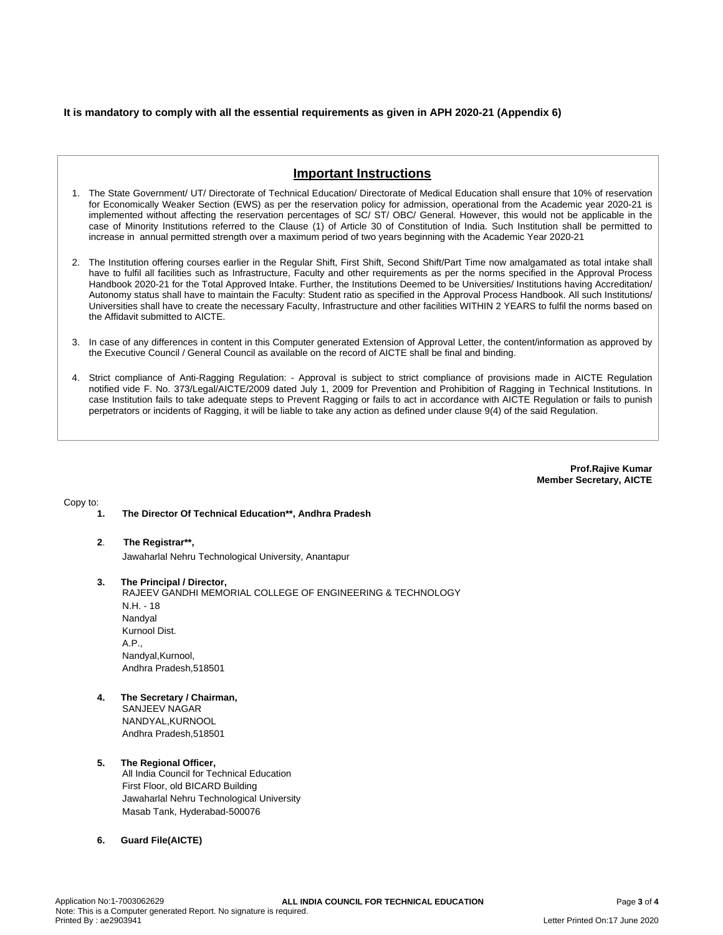### **It is mandatory to comply with all the essential requirements as given in APH 2020-21 (Appendix 6)**

## **Important Instructions**

- 1. The State Government/ UT/ Directorate of Technical Education/ Directorate of Medical Education shall ensure that 10% of reservation for Economically Weaker Section (EWS) as per the reservation policy for admission, operational from the Academic year 2020-21 is implemented without affecting the reservation percentages of SC/ ST/ OBC/ General. However, this would not be applicable in the case of Minority Institutions referred to the Clause (1) of Article 30 of Constitution of India. Such Institution shall be permitted to increase in annual permitted strength over a maximum period of two years beginning with the Academic Year 2020-21
- 2. The Institution offering courses earlier in the Regular Shift, First Shift, Second Shift/Part Time now amalgamated as total intake shall have to fulfil all facilities such as Infrastructure, Faculty and other requirements as per the norms specified in the Approval Process Handbook 2020-21 for the Total Approved Intake. Further, the Institutions Deemed to be Universities/ Institutions having Accreditation/ Autonomy status shall have to maintain the Faculty: Student ratio as specified in the Approval Process Handbook. All such Institutions/ Universities shall have to create the necessary Faculty, Infrastructure and other facilities WITHIN 2 YEARS to fulfil the norms based on the Affidavit submitted to AICTE.
- 3. In case of any differences in content in this Computer generated Extension of Approval Letter, the content/information as approved by the Executive Council / General Council as available on the record of AICTE shall be final and binding.
- 4. Strict compliance of Anti-Ragging Regulation: Approval is subject to strict compliance of provisions made in AICTE Regulation notified vide F. No. 373/Legal/AICTE/2009 dated July 1, 2009 for Prevention and Prohibition of Ragging in Technical Institutions. In case Institution fails to take adequate steps to Prevent Ragging or fails to act in accordance with AICTE Regulation or fails to punish perpetrators or incidents of Ragging, it will be liable to take any action as defined under clause 9(4) of the said Regulation.

**Prof.Rajive Kumar Member Secretary, AICTE**

Copy to:

- **1. The Director Of Technical Education\*\*, Andhra Pradesh**
- **2**. **The Registrar\*\*,**

Jawaharlal Nehru Technological University, Anantapur

**3. The Principal / Director,**

RAJEEV GANDHI MEMORIAL COLLEGE OF ENGINEERING & TECHNOLOGY N.H. - 18 Nandyal Kurnool Dist. A.P., Nandyal,Kurnool, Andhra Pradesh,518501

**4. The Secretary / Chairman,** SANJEEV NAGAR NANDYAL,KURNOOL Andhra Pradesh,518501

#### **5. The Regional Officer,** All India Council for Technical Education First Floor, old BICARD Building Jawaharlal Nehru Technological University Masab Tank, Hyderabad-500076

**6. Guard File(AICTE)**